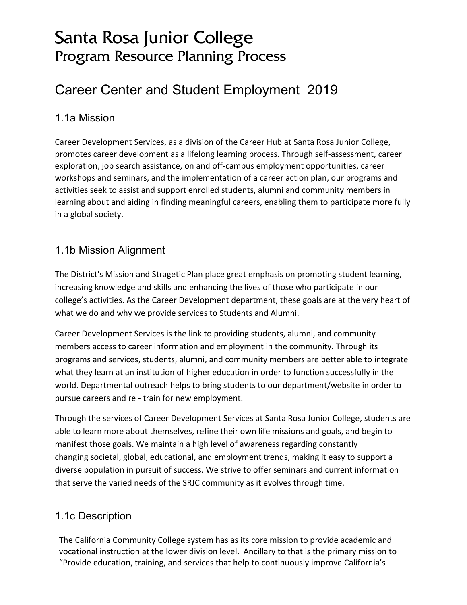# Santa Rosa Junior College Program Resource Planning Process

# Career Center and Student Employment 2019

### 1.1a Mission

Career Development Services, as a division of the Career Hub at Santa Rosa Junior College, promotes career development as a lifelong learning process. Through self-assessment, career exploration, job search assistance, on and off-campus employment opportunities, career workshops and seminars, and the implementation of a career action plan, our programs and activities seek to assist and support enrolled students, alumni and community members in learning about and aiding in finding meaningful careers, enabling them to participate more fully in a global society.

## 1.1b Mission Alignment

The District's Mission and Stragetic Plan place great emphasis on promoting student learning, increasing knowledge and skills and enhancing the lives of those who participate in our college's activities. As the Career Development department, these goals are at the very heart of what we do and why we provide services to Students and Alumni.

Career Development Services is the link to providing students, alumni, and community members access to career information and employment in the community. Through its programs and services, students, alumni, and community members are better able to integrate what they learn at an institution of higher education in order to function successfully in the world. Departmental outreach helps to bring students to our department/website in order to pursue careers and re - train for new employment.

Through the services of Career Development Services at Santa Rosa Junior College, students are able to learn more about themselves, refine their own life missions and goals, and begin to manifest those goals. We maintain a high level of awareness regarding constantly changing societal, global, educational, and employment trends, making it easy to support a diverse population in pursuit of success. We strive to offer seminars and current information that serve the varied needs of the SRJC community as it evolves through time.

# 1.1c Description

The California Community College system has as its core mission to provide academic and vocational instruction at the lower division level. Ancillary to that is the primary mission to "Provide education, training, and services that help to continuously improve California's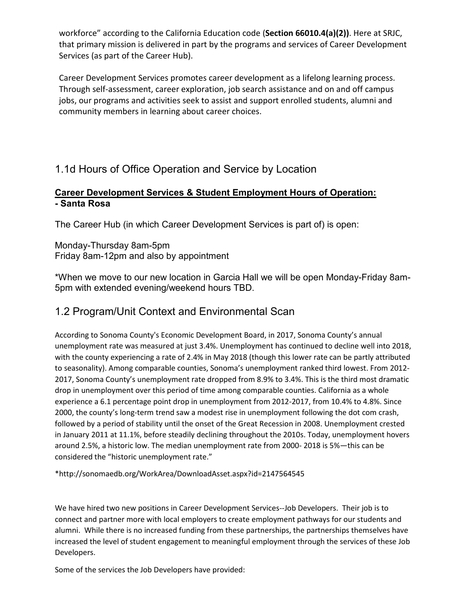workforce" according to the California Education code (**Section 66010.4(a)(2))**. Here at SRJC, that primary mission is delivered in part by the programs and services of Career Development Services (as part of the Career Hub).

Career Development Services promotes career development as a lifelong learning process. Through self-assessment, career exploration, job search assistance and on and off campus jobs, our programs and activities seek to assist and support enrolled students, alumni and community members in learning about career choices.

# 1.1d Hours of Office Operation and Service by Location

#### **Career Development Services & Student Employment Hours of Operation: - Santa Rosa**

The Career Hub (in which Career Development Services is part of) is open:

Monday-Thursday 8am-5pm Friday 8am-12pm and also by appointment

\*When we move to our new location in Garcia Hall we will be open Monday-Friday 8am-5pm with extended evening/weekend hours TBD.

# 1.2 Program/Unit Context and Environmental Scan

According to Sonoma County's Economic Development Board, in 2017, Sonoma County's annual unemployment rate was measured at just 3.4%. Unemployment has continued to decline well into 2018, with the county experiencing a rate of 2.4% in May 2018 (though this lower rate can be partly attributed to seasonality). Among comparable counties, Sonoma's unemployment ranked third lowest. From 2012- 2017, Sonoma County's unemployment rate dropped from 8.9% to 3.4%. This is the third most dramatic drop in unemployment over this period of time among comparable counties. California as a whole experience a 6.1 percentage point drop in unemployment from 2012-2017, from 10.4% to 4.8%. Since 2000, the county's long-term trend saw a modest rise in unemployment following the dot com crash, followed by a period of stability until the onset of the Great Recession in 2008. Unemployment crested in January 2011 at 11.1%, before steadily declining throughout the 2010s. Today, unemployment hovers around 2.5%, a historic low. The median unemployment rate from 2000- 2018 is 5%—this can be considered the "historic unemployment rate."

\*http://sonomaedb.org/WorkArea/DownloadAsset.aspx?id=2147564545

We have hired two new positions in Career Development Services--Job Developers. Their job is to connect and partner more with local employers to create employment pathways for our students and alumni. While there is no increased funding from these partnerships, the partnerships themselves have increased the level of student engagement to meaningful employment through the services of these Job Developers.

Some of the services the Job Developers have provided: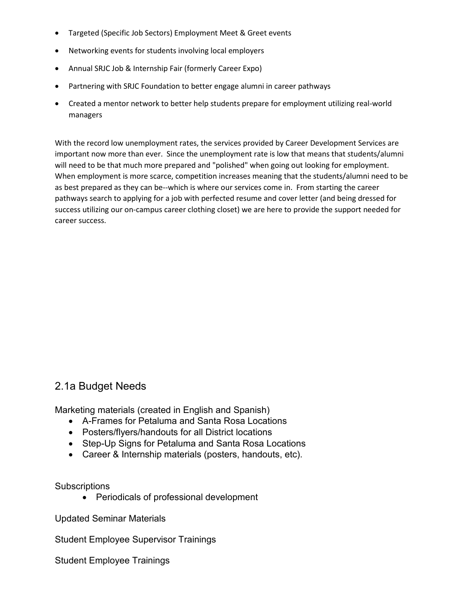- Targeted (Specific Job Sectors) Employment Meet & Greet events
- Networking events for students involving local employers
- Annual SRJC Job & Internship Fair (formerly Career Expo)
- Partnering with SRJC Foundation to better engage alumni in career pathways
- Created a mentor network to better help students prepare for employment utilizing real-world managers

With the record low unemployment rates, the services provided by Career Development Services are important now more than ever. Since the unemployment rate is low that means that students/alumni will need to be that much more prepared and "polished" when going out looking for employment. When employment is more scarce, competition increases meaning that the students/alumni need to be as best prepared as they can be--which is where our services come in. From starting the career pathways search to applying for a job with perfected resume and cover letter (and being dressed for success utilizing our on-campus career clothing closet) we are here to provide the support needed for career success.

#### 2.1a Budget Needs

Marketing materials (created in English and Spanish)

- A-Frames for Petaluma and Santa Rosa Locations
- Posters/flyers/handouts for all District locations
- Step-Up Signs for Petaluma and Santa Rosa Locations
- Career & Internship materials (posters, handouts, etc).

**Subscriptions** 

• Periodicals of professional development

Updated Seminar Materials

Student Employee Supervisor Trainings

Student Employee Trainings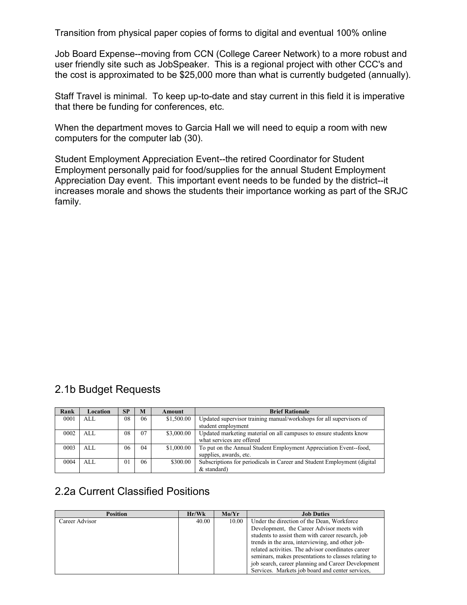Transition from physical paper copies of forms to digital and eventual 100% online

Job Board Expense--moving from CCN (College Career Network) to a more robust and user friendly site such as JobSpeaker. This is a regional project with other CCC's and the cost is approximated to be \$25,000 more than what is currently budgeted (annually).

Staff Travel is minimal. To keep up-to-date and stay current in this field it is imperative that there be funding for conferences, etc.

When the department moves to Garcia Hall we will need to equip a room with new computers for the computer lab (30).

Student Employment Appreciation Event--the retired Coordinator for Student Employment personally paid for food/supplies for the annual Student Employment Appreciation Day event. This important event needs to be funded by the district--it increases morale and shows the students their importance working as part of the SRJC family.

### 2.1b Budget Requests

| Rank | Location | <b>SP</b>      | M  | Amount     | <b>Brief Rationale</b>                                                  |
|------|----------|----------------|----|------------|-------------------------------------------------------------------------|
| 0001 | ALL      | 08             | 06 | \$1,500.00 | Updated supervisor training manual/workshops for all supervisors of     |
|      |          |                |    |            | student employment                                                      |
| 0002 | ALL      | 08             | 07 | \$3,000.00 | Updated marketing material on all campuses to ensure students know      |
|      |          |                |    |            | what services are offered                                               |
| 0003 | AI.      | 06             | 04 | \$1,000.00 | To put on the Annual Student Employment Appreciation Event-food,        |
|      |          |                |    |            | supplies, awards, etc.                                                  |
| 0004 | ALL      | 0 <sub>1</sub> | 06 | \$300.00   | Subscriptions for periodicals in Career and Student Employment (digital |
|      |          |                |    |            | $&$ standard)                                                           |

### 2.2a Current Classified Positions

| <b>Position</b> | Hr/Wk | Mo/Yr | <b>Job Duties</b>                                    |
|-----------------|-------|-------|------------------------------------------------------|
| Career Advisor  | 40.00 | 10.00 | Under the direction of the Dean, Workforce           |
|                 |       |       | Development, the Career Advisor meets with           |
|                 |       |       | students to assist them with career research, job    |
|                 |       |       | trends in the area, interviewing, and other job-     |
|                 |       |       | related activities. The advisor coordinates career   |
|                 |       |       | seminars, makes presentations to classes relating to |
|                 |       |       | job search, career planning and Career Development   |
|                 |       |       | Services. Markets job board and center services,     |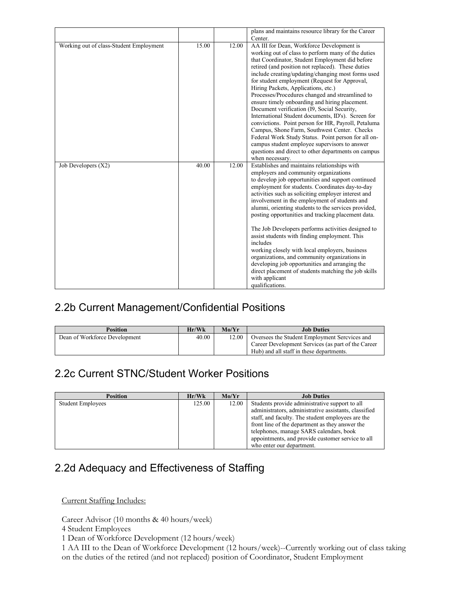|                                         |       |       | plans and maintains resource library for the Career                                                                                                                                                                                                                                                                                                                                                                                                                                                                                                                                                                                                                                                                                                                                                                                                      |
|-----------------------------------------|-------|-------|----------------------------------------------------------------------------------------------------------------------------------------------------------------------------------------------------------------------------------------------------------------------------------------------------------------------------------------------------------------------------------------------------------------------------------------------------------------------------------------------------------------------------------------------------------------------------------------------------------------------------------------------------------------------------------------------------------------------------------------------------------------------------------------------------------------------------------------------------------|
|                                         |       |       | Center.                                                                                                                                                                                                                                                                                                                                                                                                                                                                                                                                                                                                                                                                                                                                                                                                                                                  |
| Working out of class-Student Employment | 15.00 | 12.00 | AA III for Dean, Workforce Development is<br>working out of class to perform many of the duties<br>that Coordinator, Student Employment did before<br>retired (and position not replaced). These duties<br>include creating/updating/changing most forms used<br>for student employment (Request for Approval,<br>Hiring Packets, Applications, etc.)<br>Processes/Procedures changed and streamlined to<br>ensure timely onboarding and hiring placement.<br>Document verification (I9, Social Security,<br>International Student documents, ID's). Screen for<br>convictions. Point person for HR, Payroll, Petaluma<br>Campus, Shone Farm, Southwest Center. Checks<br>Federal Work Study Status. Point person for all on-<br>campus student employee supervisors to answer<br>questions and direct to other departments on campus<br>when necessary. |
| Job Developers (X2)                     | 40.00 | 12.00 | Establishes and maintains relationships with<br>employers and community organizations<br>to develop job opportunities and support continued<br>employment for students. Coordinates day-to-day<br>activities such as soliciting employer interest and<br>involvement in the employment of students and<br>alumni, orienting students to the services provided,<br>posting opportunities and tracking placement data.<br>The Job Developers performs activities designed to<br>assist students with finding employment. This<br>includes<br>working closely with local employers, business<br>organizations, and community organizations in<br>developing job opportunities and arranging the<br>direct placement of students matching the job skills<br>with applicant<br>qualifications.                                                                |

# 2.2b Current Management/Confidential Positions

| <b>Position</b>               | Hr/Wk | Mo/Yr | <b>Job Duties</b>                                                                                                                              |
|-------------------------------|-------|-------|------------------------------------------------------------------------------------------------------------------------------------------------|
| Dean of Workforce Development | 40.00 | 12.00 | Oversees the Student Employment Sercyces and<br>Career Development Services (as part of the Career<br>Hub) and all staff in these departments. |

# 2.2c Current STNC/Student Worker Positions

| <b>Position</b>          | Hr/Wk  | Mo/Yr | <b>Job Duties</b>                                                                                                                                                            |
|--------------------------|--------|-------|------------------------------------------------------------------------------------------------------------------------------------------------------------------------------|
| <b>Student Employees</b> | 125.00 | 12.00 | Students provide administrative support to all<br>administrators, administrative assistants, classified<br>staff, and faculty. The student employees are the                 |
|                          |        |       | front line of the department as they answer the<br>telephones, manage SARS calendars, book<br>appointments, and provide customer service to all<br>who enter our department. |

# 2.2d Adequacy and Effectiveness of Staffing

Current Staffing Includes:

Career Advisor (10 months & 40 hours/week)

4 Student Employees

1 Dean of Workforce Development (12 hours/week)

1 AA III to the Dean of Workforce Development (12 hours/week)--Currently working out of class taking on the duties of the retired (and not replaced) position of Coordinator, Student Employment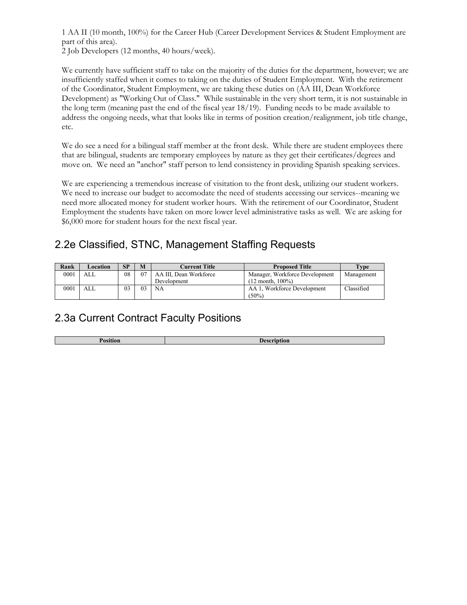1 AA II (10 month, 100%) for the Career Hub (Career Development Services & Student Employment are part of this area).

2 Job Developers (12 months, 40 hours/week).

We currently have sufficient staff to take on the majority of the duties for the department, however; we are insufficiently staffed when it comes to taking on the duties of Student Employment. With the retirement of the Coordinator, Student Employment, we are taking these duties on (AA III, Dean Workforce Development) as "Working Out of Class." While sustainable in the very short term, it is not sustainable in the long term (meaning past the end of the fiscal year 18/19). Funding needs to be made available to address the ongoing needs, what that looks like in terms of position creation/realignment, job title change, etc.

We do see a need for a bilingual staff member at the front desk. While there are student employees there that are bilingual, students are temporary employees by nature as they get their certificates/degrees and move on. We need an "anchor" staff person to lend consistency in providing Spanish speaking services.

We are experiencing a tremendous increase of visitation to the front desk, utilizing our student workers. We need to increase our budget to accomodate the need of students accessing our services--meaning we need more allocated money for student worker hours. With the retirement of our Coordinator, Student Employment the students have taken on more lower level administrative tasks as well. We are asking for \$6,000 more for student hours for the next fiscal year.

# 2.2e Classified, STNC, Management Staffing Requests

| Rank | Location | SP | M  | Current Title          | <b>Proposed Title</b>          | Type       |
|------|----------|----|----|------------------------|--------------------------------|------------|
| 0001 | ALL      | 08 | 07 | AA III, Dean Workforce | Manager, Workforce Development | Management |
|      |          |    |    | Development            | $(12 \text{ month}, 100\%)$    |            |
| 0001 | ALL      | 03 | 03 | <b>NA</b>              | AA 1. Workforce Development    | Classified |
|      |          |    |    |                        | $(50\%)$                       |            |

# 2.3a Current Contract Faculty Positions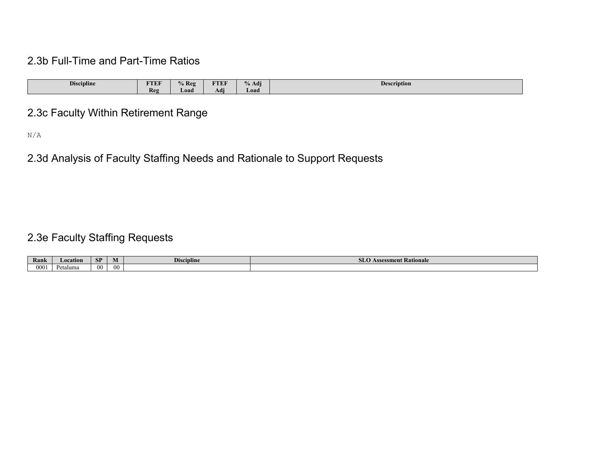## 2.3b Full-Time and Part-Time Ratios

| <b>Discipline</b> | <b>TTEF</b> | 6 Res | <b>CONTRACT</b><br>1 L I | $\mathbf{r}$<br>Adi | Description |
|-------------------|-------------|-------|--------------------------|---------------------|-------------|
|                   | Reg         | Load  | Adi                      | Load                |             |

# 2.3c Faculty Within Retirement Range

N/A

# 2.3d Analysis of Faculty Staffing Needs and Rationale to Support Requests

# 2.3e Faculty Staffing Requests

| Rank      | Location | <b>SP</b> | . . | <b>Discipline</b> | ıent Kationale<br>8808<br>. <i>. .</i><br>ZWYWY |
|-----------|----------|-----------|-----|-------------------|-------------------------------------------------|
| 0001<br>. | Petaluma | 00        | -00 |                   |                                                 |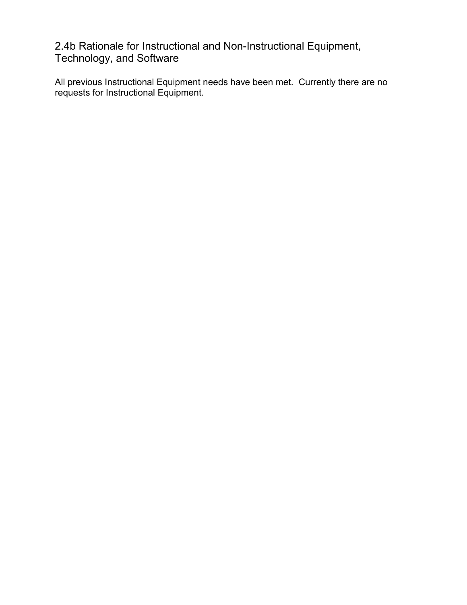2.4b Rationale for Instructional and Non-Instructional Equipment, Technology, and Software

All previous Instructional Equipment needs have been met. Currently there are no requests for Instructional Equipment.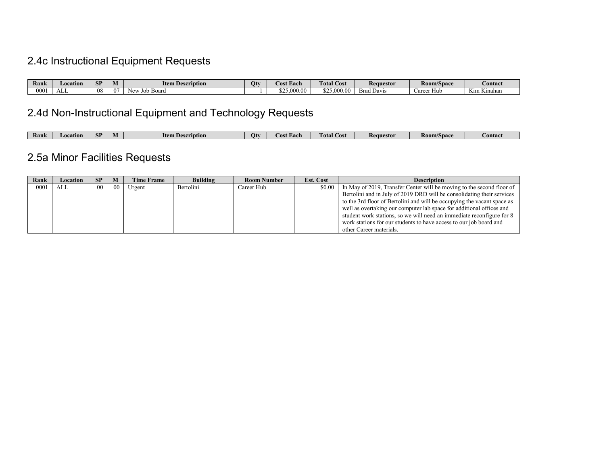# 2.4c Instructional Equipment Requests

| Rank          | Location   | <b>CD</b><br>$\mathbf{H}$ |     | --<br>ltem<br>ı Description | Qt | <b>Cost Each</b> | <b>CONTRACTOR</b><br><b>Total Cost</b>    | <b>Requestor</b>                                                           | <b>Room/Space</b>           | <b>Contact</b>                                     |
|---------------|------------|---------------------------|-----|-----------------------------|----|------------------|-------------------------------------------|----------------------------------------------------------------------------|-----------------------------|----------------------------------------------------|
| $000^{\circ}$ | - 3<br>ALL | 08                        | -01 | Board<br>$\sim$             |    | 25.000.0         | $\sim$ $\sim$<br>00<br>$\alpha$<br>949.UU | $\overline{\phantom{a}}$<br><b>The Second Service</b><br>Rro<br>Brad Davis | . Hub<br>$0$ raat<br>Calcci | $-1$<br>$-1$<br>4,400<br>$\cdots$<br>імпанан<br>NП |

# 2.4d Non-Instructional Equipment and Technology Requests

| C <sub>D</sub><br>Ranl<br>Otv<br>ltem De<br>Total<br><b>Room/Space</b><br>Requestor<br>$\mathcal{\mathcal{L}}$ ost<br>Location<br>escription<br>Eac.<br>Contact<br>ASI<br><b>IVI</b><br>ЮI |  |  |  |  |  |  |
|--------------------------------------------------------------------------------------------------------------------------------------------------------------------------------------------|--|--|--|--|--|--|
|                                                                                                                                                                                            |  |  |  |  |  |  |

# 2.5a Minor Facilities Requests

| Rank | Location | <b>SP</b>       | M      | <b>Time Frame</b> | <b>Building</b> | <b>Room Number</b> | <b>Est. Cost</b> | <b>Description</b>                                                      |
|------|----------|-----------------|--------|-------------------|-----------------|--------------------|------------------|-------------------------------------------------------------------------|
| 0001 | ALL      | 00 <sup>1</sup> | $00\,$ | Urgent            | Bertolini       | Career Hub         | \$0.00           | In May of 2019, Transfer Center will be moving to the second floor of   |
|      |          |                 |        |                   |                 |                    |                  | Bertolini and in July of 2019 DRD will be consolidating their services  |
|      |          |                 |        |                   |                 |                    |                  | to the 3rd floor of Bertolini and will be occupying the vacant space as |
|      |          |                 |        |                   |                 |                    |                  | well as overtaking our computer lab space for additional offices and    |
|      |          |                 |        |                   |                 |                    |                  | student work stations, so we will need an immediate reconfigure for 8   |
|      |          |                 |        |                   |                 |                    |                  | work stations for our students to have access to our job board and      |
|      |          |                 |        |                   |                 |                    |                  | other Career materials.                                                 |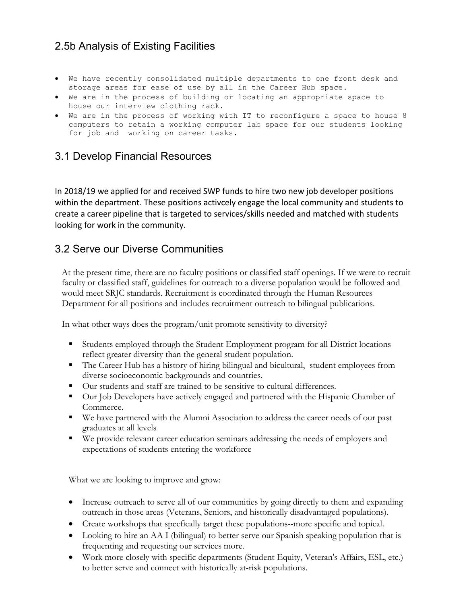### 2.5b Analysis of Existing Facilities

- We have recently consolidated multiple departments to one front desk and storage areas for ease of use by all in the Career Hub space.
- We are in the process of building or locating an appropriate space to house our interview clothing rack.
- We are in the process of working with IT to reconfigure a space to house 8 computers to retain a working computer lab space for our students looking for job and working on career tasks.

## 3.1 Develop Financial Resources

In 2018/19 we applied for and received SWP funds to hire two new job developer positions within the department. These positions activcely engage the local community and students to create a career pipeline that is targeted to services/skills needed and matched with students looking for work in the community.

### 3.2 Serve our Diverse Communities

At the present time, there are no faculty positions or classified staff openings. If we were to recruit faculty or classified staff, guidelines for outreach to a diverse population would be followed and would meet SRJC standards. Recruitment is coordinated through the Human Resources Department for all positions and includes recruitment outreach to bilingual publications.

In what other ways does the program/unit promote sensitivity to diversity?

- Students employed through the Student Employment program for all District locations reflect greater diversity than the general student population.
- The Career Hub has a history of hiring bilingual and bicultural, student employees from diverse socioeconomic backgrounds and countries.
- Our students and staff are trained to be sensitive to cultural differences.
- Our Job Developers have actively engaged and partnered with the Hispanic Chamber of Commerce.
- We have partnered with the Alumni Association to address the career needs of our past graduates at all levels
- We provide relevant career education seminars addressing the needs of employers and expectations of students entering the workforce

What we are looking to improve and grow:

- Increase outreach to serve all of our communities by going directly to them and expanding outreach in those areas (Veterans, Seniors, and historically disadvantaged populations).
- Create workshops that specfically target these populations--more specific and topical.
- Looking to hire an AA I (bilingual) to better serve our Spanish speaking population that is frequenting and requesting our services more.
- Work more closely with specific departments (Student Equity, Veteran's Affairs, ESL, etc.) to better serve and connect with historically at-risk populations.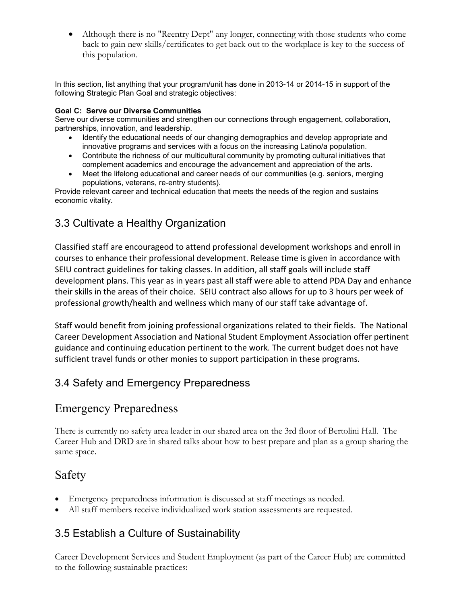• Although there is no "Reentry Dept" any longer, connecting with those students who come back to gain new skills/certificates to get back out to the workplace is key to the success of this population.

In this section, list anything that your program/unit has done in 2013-14 or 2014-15 in support of the following Strategic Plan Goal and strategic objectives:

#### **Goal C: Serve our Diverse Communities**

Serve our diverse communities and strengthen our connections through engagement, collaboration, partnerships, innovation, and leadership.

- Identify the educational needs of our changing demographics and develop appropriate and innovative programs and services with a focus on the increasing Latino/a population.
- Contribute the richness of our multicultural community by promoting cultural initiatives that complement academics and encourage the advancement and appreciation of the arts.
- Meet the lifelong educational and career needs of our communities (e.g. seniors, merging populations, veterans, re-entry students).

Provide relevant career and technical education that meets the needs of the region and sustains economic vitality.

## 3.3 Cultivate a Healthy Organization

Classified staff are encourageod to attend professional development workshops and enroll in courses to enhance their professional development. Release time is given in accordance with SEIU contract guidelines for taking classes. In addition, all staff goals will include staff development plans. This year as in years past all staff were able to attend PDA Day and enhance their skills in the areas of their choice. SEIU contract also allows for up to 3 hours per week of professional growth/health and wellness which many of our staff take advantage of.

Staff would benefit from joining professional organizations related to their fields. The National Career Development Association and National Student Employment Association offer pertinent guidance and continuing education pertinent to the work. The current budget does not have sufficient travel funds or other monies to support participation in these programs.

# 3.4 Safety and Emergency Preparedness

# Emergency Preparedness

There is currently no safety area leader in our shared area on the 3rd floor of Bertolini Hall. The Career Hub and DRD are in shared talks about how to best prepare and plan as a group sharing the same space.

# Safety

- Emergency preparedness information is discussed at staff meetings as needed.
- All staff members receive individualized work station assessments are requested.

### 3.5 Establish a Culture of Sustainability

Career Development Services and Student Employment (as part of the Career Hub) are committed to the following sustainable practices: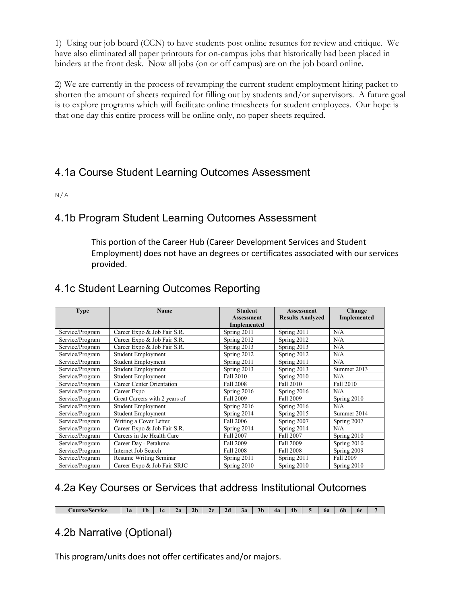1) Using our job board (CCN) to have students post online resumes for review and critique. We have also eliminated all paper printouts for on-campus jobs that historically had been placed in binders at the front desk. Now all jobs (on or off campus) are on the job board online.

2) We are currently in the process of revamping the current student employment hiring packet to shorten the amount of sheets required for filling out by students and/or supervisors. A future goal is to explore programs which will facilitate online timesheets for student employees. Our hope is that one day this entire process will be online only, no paper sheets required.

# 4.1a Course Student Learning Outcomes Assessment

N/A

### 4.1b Program Student Learning Outcomes Assessment

This portion of the Career Hub (Career Development Services and Student Employment) does not have an degrees or certificates associated with our services provided.

## 4.1c Student Learning Outcomes Reporting

| <b>Type</b>     | <b>Name</b>                   | <b>Student</b>     | <b>Assessment</b>       | Change      |  |
|-----------------|-------------------------------|--------------------|-------------------------|-------------|--|
|                 |                               | <b>Assessment</b>  | <b>Results Analyzed</b> | Implemented |  |
|                 |                               | <b>Implemented</b> |                         |             |  |
| Service/Program | Career Expo & Job Fair S.R.   | Spring 2011        | Spring 2011             | N/A         |  |
| Service/Program | Career Expo & Job Fair S.R.   | Spring 2012        | Spring 2012             | N/A         |  |
| Service/Program | Career Expo & Job Fair S.R.   | Spring 2013        | Spring 2013             | N/A         |  |
| Service/Program | <b>Student Employment</b>     | Spring 2012        | Spring 2012             | N/A         |  |
| Service/Program | <b>Student Employment</b>     | Spring 2011        | Spring 2011             | N/A         |  |
| Service/Program | <b>Student Employment</b>     | Spring 2013        | Spring 2013             | Summer 2013 |  |
| Service/Program | Student Employment            | Fall 2010          | Spring 2010             | N/A         |  |
| Service/Program | Career Center Orientation     | Fall 2008          | Fall 2010               | Fall 2010   |  |
| Service/Program | Career Expo                   | Spring 2016        | Spring 2016             | N/A         |  |
| Service/Program | Great Careers with 2 years of | Fall 2009          | Fall 2009               | Spring 2010 |  |
| Service/Program | <b>Student Employment</b>     | Spring 2016        | Spring 2016             | N/A         |  |
| Service/Program | <b>Student Employment</b>     | Spring 2014        | Spring 2015             | Summer 2014 |  |
| Service/Program | Writing a Cover Letter        | Fall 2006          | Spring 2007             | Spring 2007 |  |
| Service/Program | Career Expo & Job Fair S.R.   | Spring 2014        | Spring 2014             | N/A         |  |
| Service/Program | Careers in the Health Care    | Fall 2007          | Fall 2007               | Spring 2010 |  |
| Service/Program | Career Dav - Petaluma         | Fall 2009          | Fall 2009               | Spring 2010 |  |
| Service/Program | Internet Job Search           | Fall 2008          | Fall 2008               | Spring 2009 |  |
| Service/Program | Resume Writing Seminar        | Spring 2011        | Spring 2011             | Fall 2009   |  |
| Service/Program | Career Expo & Job Fair SRJC   | Spring 2010        | Spring 2010             | Spring 2010 |  |

### 4.2a Key Courses or Services that address Institutional Outcomes

| $\cdots$<br><i>C</i> ourse/Service | l o<br>лα | 4b | . . | ה ו<br>r a | 2b | , <b>.</b><br>-- | 20 | . .<br>J7 | 3 <sub>b</sub> | 43 | 4b | ba | <b>b</b> | 6c |  |
|------------------------------------|-----------|----|-----|------------|----|------------------|----|-----------|----------------|----|----|----|----------|----|--|

# 4.2b Narrative (Optional)

This program/units does not offer certificates and/or majors.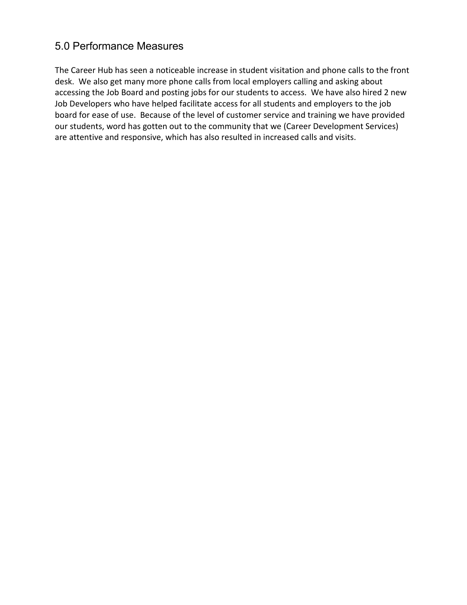## 5.0 Performance Measures

The Career Hub has seen a noticeable increase in student visitation and phone calls to the front desk. We also get many more phone calls from local employers calling and asking about accessing the Job Board and posting jobs for our students to access. We have also hired 2 new Job Developers who have helped facilitate access for all students and employers to the job board for ease of use. Because of the level of customer service and training we have provided our students, word has gotten out to the community that we (Career Development Services) are attentive and responsive, which has also resulted in increased calls and visits.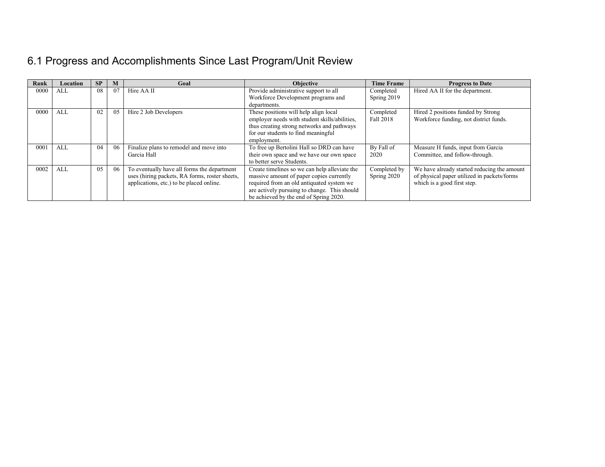# 6.1 Progress and Accomplishments Since Last Program/Unit Review

| Rank | Location | SP | M  | Goal                                                                                                                                      | <b>Objective</b>                                                                                                                                                                                                                 | <b>Time Frame</b>           | <b>Progress to Date</b>                                                                                                   |
|------|----------|----|----|-------------------------------------------------------------------------------------------------------------------------------------------|----------------------------------------------------------------------------------------------------------------------------------------------------------------------------------------------------------------------------------|-----------------------------|---------------------------------------------------------------------------------------------------------------------------|
| 0000 | ALL      | 08 | 07 | Hire AA II                                                                                                                                | Provide administrative support to all                                                                                                                                                                                            | Completed                   | Hired AA II for the department.                                                                                           |
|      |          |    |    |                                                                                                                                           | Workforce Development programs and<br>departments.                                                                                                                                                                               | Spring 2019                 |                                                                                                                           |
| 0000 | ALL      | 02 | 05 | Hire 2 Job Developers                                                                                                                     | These positions will help align local<br>employer needs with student skills/abilities,<br>thus creating strong networks and pathways<br>for our students to find meaningful<br>employment.                                       | Completed<br>Fall 2018      | Hired 2 positions funded by Strong<br>Workforce funding, not district funds.                                              |
| 0001 | ALL      | 04 | 06 | Finalize plans to remodel and move into<br>Garcia Hall                                                                                    | To free up Bertolini Hall so DRD can have<br>their own space and we have our own space<br>to better serve Students.                                                                                                              | By Fall of<br>2020          | Measure H funds, input from Garcia<br>Committee, and follow-through.                                                      |
| 0002 | ALL      | 05 | 06 | To eventually have all forms the department<br>uses (hiring packets, RA forms, roster sheets,<br>applications, etc.) to be placed online. | Create timelines so we can help alleviate the<br>massive amount of paper copies currently<br>required from an old antiquated system we<br>are actively pursuing to change. This should<br>be achieved by the end of Spring 2020. | Completed by<br>Spring 2020 | We have already started reducing the amount<br>of physical paper utilized in packets/forms<br>which is a good first step. |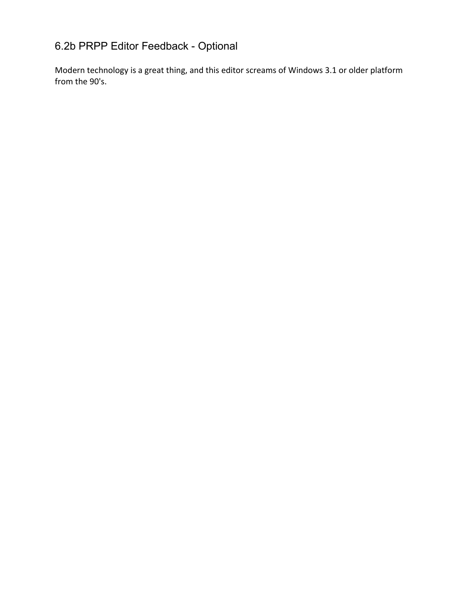# 6.2b PRPP Editor Feedback - Optional

Modern technology is a great thing, and this editor screams of Windows 3.1 or older platform from the 90's.